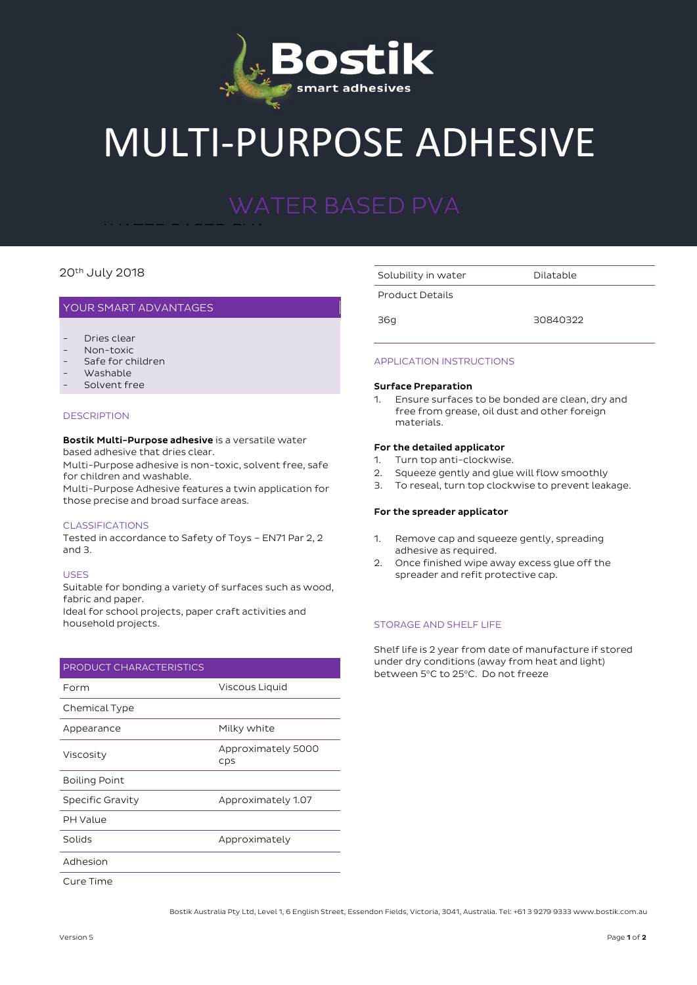

# MULTI-PURPOSE ADHESIVE

#### $20<sup>th</sup>$  July 2018

#### YOUR SMART ADVANTAGES

- Dries clear
- Non-toxic
- Safe for children
- Washable
- Solvent free

#### **DESCRIPTION**

**Bostik Multi-Purpose adhesive** is a versatile water based adhesive that dries clear.

 $\cdots$   $\cdots$   $\cdots$   $\cdots$   $\cdots$   $\cdots$ WATER BASED PVA

Multi-Purpose adhesive is non-toxic, solvent free, safe for children and washable.

Multi-Purpose Adhesive features a twin application for those precise and broad surface areas.

#### CLASSIFICATIONS

Tested in accordance to Safety of Toys – EN71 Par 2, 2 and 3.

#### USES

Suitable for bonding a variety of surfaces such as wood, fabric and paper. Ideal for school projects, paper craft activities and

household projects.

## PRODUCT CHARACTERISTICS Form Viscous Liquid Chemical Type Appearance Milky white

| Viscosity            | Approximately 5000<br>CDS |
|----------------------|---------------------------|
| <b>Boiling Point</b> |                           |
| Specific Gravity     | Approximately 1.07        |
| PH Value             |                           |
| Solids               | Approximately             |
| Adhesion             |                           |

Cure Time

Solubility in water **Dilatable** 

Product Details

36g 30840322

#### APPLICATION INSTRUCTIONS

#### **Surface Preparation**

1. Ensure surfaces to be bonded are clean, dry and free from grease, oil dust and other foreign materials.

#### **For the detailed applicator**

- 1. Turn top anti-clockwise.
- 2. Squeeze gently and glue will flow smoothly
- 3. To reseal, turn top clockwise to prevent leakage.

#### **For the spreader applicator**

- 1. Remove cap and squeeze gently, spreading adhesive as required.
- 2. Once finished wipe away excess glue off the spreader and refit protective cap.

### STORAGE AND SHELF LIFE

Shelf life is 2 year from date of manufacture if stored under dry conditions (away from heat and light) between 5°C to 25°C. Do not freeze

Bostik Australia Pty Ltd, Level 1, 6 English Street, Essendon Fields, Victoria, 3041, Australia. Tel: +61 3 9279 9333 www.bostik.com.au